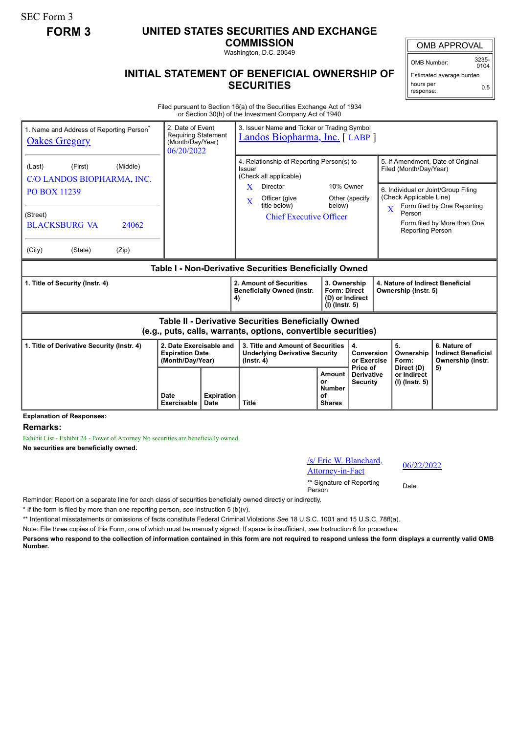SEC Form 3

## **FORM 3 UNITED STATES SECURITIES AND EXCHANGE**

**COMMISSION** Washington, D.C. 20549

OMB APPROVAL

OMB Number: 3235-  $0104$ 

0.5

Estimated average burden

hours per response:

## **INITIAL STATEMENT OF BENEFICIAL OWNERSHIP OF SECURITIES**

Filed pursuant to Section 16(a) of the Securities Exchange Act of 1934 or Section 30(h) of the Investment Company Act of 1940

| 1. Name and Address of Reporting Person <sup>®</sup><br><b>Oakes Gregory</b>                                                    | 2. Date of Event<br><b>Requiring Statement</b><br>(Month/Day/Year)<br>06/20/2022 |                                                                                                                                                                                   |                                                                            | 3. Issuer Name and Ticker or Trading Symbol<br>Landos Biopharma, Inc. [ LABP ] |                                                                                        |                                                                                                                                        |  |  |
|---------------------------------------------------------------------------------------------------------------------------------|----------------------------------------------------------------------------------|-----------------------------------------------------------------------------------------------------------------------------------------------------------------------------------|----------------------------------------------------------------------------|--------------------------------------------------------------------------------|----------------------------------------------------------------------------------------|----------------------------------------------------------------------------------------------------------------------------------------|--|--|
| (Middle)<br>(First)<br>(Last)<br>C/O LANDOS BIOPHARMA, INC.<br><b>PO BOX 11239</b><br>(Street)<br><b>BLACKSBURG VA</b><br>24062 |                                                                                  | 4. Relationship of Reporting Person(s) to<br>Issuer<br>(Check all applicable)<br>Director<br>X<br>Officer (give<br>$\mathbf{X}$<br>title below)<br><b>Chief Executive Officer</b> | 10% Owner<br>Other (specify<br>below)                                      | $\overline{\mathbf{X}}$                                                        | Filed (Month/Day/Year)<br>(Check Applicable Line)<br>Person<br><b>Reporting Person</b> | 5. If Amendment, Date of Original<br>6. Individual or Joint/Group Filing<br>Form filed by One Reporting<br>Form filed by More than One |  |  |
| (City)<br>(State)<br>(Zip)                                                                                                      |                                                                                  |                                                                                                                                                                                   |                                                                            |                                                                                |                                                                                        |                                                                                                                                        |  |  |
| Table I - Non-Derivative Securities Beneficially Owned                                                                          |                                                                                  |                                                                                                                                                                                   |                                                                            |                                                                                |                                                                                        |                                                                                                                                        |  |  |
| 1. Title of Security (Instr. 4)                                                                                                 |                                                                                  | 2. Amount of Securities<br><b>Beneficially Owned (Instr.</b><br>4)                                                                                                                | 3. Ownership<br><b>Form: Direct</b><br>(D) or Indirect<br>$(I)$ (lnstr. 5) |                                                                                | 4. Nature of Indirect Beneficial<br>Ownership (Instr. 5)                               |                                                                                                                                        |  |  |
| Table II - Derivative Securities Beneficially Owned<br>(e.g., puts, calls, warrants, options, convertible securities)           |                                                                                  |                                                                                                                                                                                   |                                                                            |                                                                                |                                                                                        |                                                                                                                                        |  |  |
| 2. Date Exercisable and<br>1. Title of Derivative Security (Instr. 4)<br><b>Expiration Date</b><br>(Month/Day/Year)             |                                                                                  | 3. Title and Amount of Securities<br><b>Underlying Derivative Security</b><br>$($ lnstr. 4 $)$                                                                                    |                                                                            | 4.<br><b>Conversion</b><br>or Exercise<br>Price of                             | 5.<br>Ownership<br>Form:                                                               | 6. Nature of<br><b>Indirect Beneficial</b><br>Ownership (Instr.                                                                        |  |  |
|                                                                                                                                 | <b>Expiration</b><br>Date<br><b>Date</b><br>Exercisable                          | <b>Title</b>                                                                                                                                                                      | Amount<br>or<br><b>Number</b><br>οf<br><b>Shares</b>                       | <b>Derivative</b><br><b>Security</b>                                           | Direct (D)<br>or Indirect<br>$(I)$ (lnstr. 5)                                          | 5)                                                                                                                                     |  |  |

**Explanation of Responses:**

**Remarks:**

Exhibit List - Exhibit 24 - Power of Attorney No securities are beneficially owned.

**No securities are beneficially owned.**

/s/ Eric W. Blanchard,  $\frac{8}{2}$  Eric w. Blanchard,  $\frac{06}{22/2022}$ 

\*\* Signature of Reporting Person Date

Reminder: Report on a separate line for each class of securities beneficially owned directly or indirectly.

\* If the form is filed by more than one reporting person, *see* Instruction 5 (b)(v).

\*\* Intentional misstatements or omissions of facts constitute Federal Criminal Violations *See* 18 U.S.C. 1001 and 15 U.S.C. 78ff(a).

Note: File three copies of this Form, one of which must be manually signed. If space is insufficient, *see* Instruction 6 for procedure.

**Persons who respond to the collection of information contained in this form are not required to respond unless the form displays a currently valid OMB Number.**